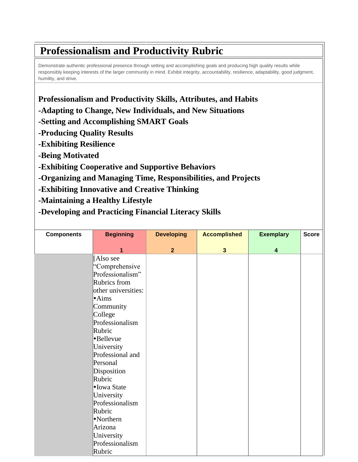## **Professionalism and Productivity Rubric**

Demonstrate authentic professional presence through setting and accomplishing goals and producing high quality results while responsibly keeping interests of the larger community in mind. Exhibit integrity, accountability, resilience, adaptability, good judgment, humility, and drive.

**Professionalism and Productivity Skills, Attributes, and Habits -Adapting to Change, New Individuals, and New Situations -Setting and Accomplishing SMART Goals -Producing Quality Results -Exhibiting Resilience -Being Motivated -Exhibiting Cooperative and Supportive Behaviors -Organizing and Managing Time, Responsibilities, and Projects -Exhibiting Innovative and Creative Thinking -Maintaining a Healthy Lifestyle**

**-Developing and Practicing Financial Literacy Skills**

| <b>Components</b> | <b>Beginning</b>    | <b>Developing</b> | <b>Accomplished</b>     | <b>Exemplary</b> | <b>Score</b> |
|-------------------|---------------------|-------------------|-------------------------|------------------|--------------|
|                   |                     |                   |                         |                  |              |
|                   | 1                   | $\overline{2}$    | $\overline{\mathbf{3}}$ | $\boldsymbol{4}$ |              |
|                   | [Also see           |                   |                         |                  |              |
|                   | "Comprehensive      |                   |                         |                  |              |
|                   | Professionalism"    |                   |                         |                  |              |
|                   | Rubrics from        |                   |                         |                  |              |
|                   | other universities: |                   |                         |                  |              |
|                   | $\cdot$ Aims        |                   |                         |                  |              |
|                   | Community           |                   |                         |                  |              |
|                   | College             |                   |                         |                  |              |
|                   | Professionalism     |                   |                         |                  |              |
|                   | Rubric              |                   |                         |                  |              |
|                   | •Bellevue           |                   |                         |                  |              |
|                   | University          |                   |                         |                  |              |
|                   | Professional and    |                   |                         |                  |              |
|                   | Personal            |                   |                         |                  |              |
|                   | Disposition         |                   |                         |                  |              |
|                   | Rubric              |                   |                         |                  |              |
|                   | • Iowa State        |                   |                         |                  |              |
|                   | University          |                   |                         |                  |              |
|                   | Professionalism     |                   |                         |                  |              |
|                   | Rubric              |                   |                         |                  |              |
|                   | •Northern           |                   |                         |                  |              |
|                   | Arizona             |                   |                         |                  |              |
|                   | University          |                   |                         |                  |              |
|                   | Professionalism     |                   |                         |                  |              |
|                   | Rubric              |                   |                         |                  |              |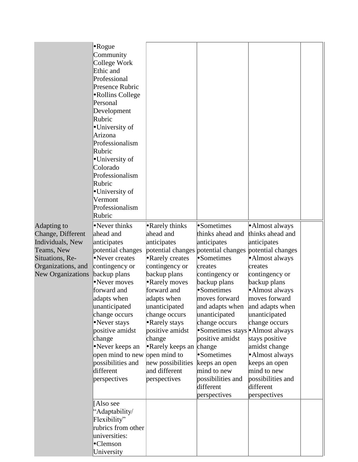|                                                                                                                                  | $\cdot$ Rogue<br>Community<br>College Work<br>Ethic and<br>Professional<br>Presence Rubric<br>•Rollins College<br>Personal<br>Development<br>Rubric<br>•University of<br>Arizona<br>Professionalism<br>Rubric<br>•University of<br>Colorado<br>Professionalism<br>Rubric<br>•University of<br>Vermont<br>Professionalism<br>Rubric      |                                                                                                                                                                                                                                                                                                                                                    |                                                                                                                                                                                                                                                                                                                                                                    |                                                                                                                                                                                                                                                                                                                                                          |  |
|----------------------------------------------------------------------------------------------------------------------------------|-----------------------------------------------------------------------------------------------------------------------------------------------------------------------------------------------------------------------------------------------------------------------------------------------------------------------------------------|----------------------------------------------------------------------------------------------------------------------------------------------------------------------------------------------------------------------------------------------------------------------------------------------------------------------------------------------------|--------------------------------------------------------------------------------------------------------------------------------------------------------------------------------------------------------------------------------------------------------------------------------------------------------------------------------------------------------------------|----------------------------------------------------------------------------------------------------------------------------------------------------------------------------------------------------------------------------------------------------------------------------------------------------------------------------------------------------------|--|
| Adapting to<br>Change, Different<br>Individuals, New<br>Teams, New<br>Situations, Re-<br>Organizations, and<br>New Organizations | •Never thinks<br>ahead and<br>anticipates<br>potential changes<br>Never creates<br>contingency or<br>backup plans<br>•Never moves<br>forward and<br>adapts when<br>unanticipated<br>change occurs<br>•Never stays<br>positive amidst<br>change<br>•Never keeps an<br>open mind to new<br>possibilities and<br>different<br>perspectives | • Rarely thinks<br>ahead and<br>anticipates<br>potential changes<br>• Rarely creates<br>contingency or<br>backup plans<br>• Rarely moves<br>forward and<br>adapts when<br>unanticipated<br>change occurs<br>• Rarely stays<br>positive amidst<br>change<br>• Rarely keeps an<br>open mind to<br>new possibilities<br>and different<br>perspectives | •Sometimes<br>thinks ahead and<br>anticipates<br>potential changes<br>•Sometimes<br>creates<br>contingency or<br>backup plans<br>•Sometimes<br>moves forward<br>and adapts when<br>unanticipated<br>change occurs<br>•Sometimes stays • Almost always<br>positive amidst<br>change<br>•Sometimes<br>keeps an open<br>mind to new<br>possibilities and<br>different | • Almost always<br>thinks ahead and<br>anticipates<br>potential changes<br>• Almost always<br>creates<br>contingency or<br>backup plans<br>• Almost always<br>moves forward<br>and adapts when<br>unanticipated<br>change occurs<br>stays positive<br>amidst change<br>• Almost always<br>keeps an open<br>mind to new<br>possibilities and<br>different |  |
|                                                                                                                                  | [Also see<br>"Adaptability/<br>Flexibility"<br>rubrics from other<br>universities:<br>•Clemson<br>University                                                                                                                                                                                                                            |                                                                                                                                                                                                                                                                                                                                                    | perspectives                                                                                                                                                                                                                                                                                                                                                       | perspectives                                                                                                                                                                                                                                                                                                                                             |  |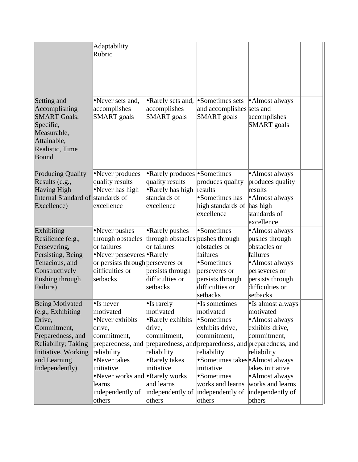|                                                                                                                                                                     | Adaptability<br>Rubric                                                                                                                                                                                                                                                        |                                                                                                                                                                           |                                                                                                                                                                                                             |                                                                                                                                                                                              |  |
|---------------------------------------------------------------------------------------------------------------------------------------------------------------------|-------------------------------------------------------------------------------------------------------------------------------------------------------------------------------------------------------------------------------------------------------------------------------|---------------------------------------------------------------------------------------------------------------------------------------------------------------------------|-------------------------------------------------------------------------------------------------------------------------------------------------------------------------------------------------------------|----------------------------------------------------------------------------------------------------------------------------------------------------------------------------------------------|--|
| Setting and<br>Accomplishing<br><b>SMART Goals:</b><br>Specific,<br>Measurable,<br>Attainable,<br>Realistic, Time<br>Bound                                          | Never sets and,<br>accomplishes<br><b>SMART</b> goals                                                                                                                                                                                                                         | • Rarely sets and,<br>accomplishes<br><b>SMART</b> goals                                                                                                                  | •Sometimes sets<br>and accomplishes sets and<br><b>SMART</b> goals                                                                                                                                          | • Almost always<br>accomplishes<br><b>SMART</b> goals                                                                                                                                        |  |
| <b>Producing Quality</b><br>Results (e.g.,<br><b>Having High</b><br>Internal Standard of standards of<br>Excellence)                                                | •Never produces<br>quality results<br>•Never has high<br>excellence                                                                                                                                                                                                           | <b>Rarely produces • Sometimes</b><br>quality results<br>• Rarely has high<br>standards of<br>excellence                                                                  | produces quality<br>results<br>•Sometimes has<br>high standards of<br>excellence                                                                                                                            | • Almost always<br>produces quality<br>results<br>• Almost always<br>has high<br>standards of<br>excellence                                                                                  |  |
| Exhibiting<br>Resilience (e.g.,<br>Persevering,<br>Persisting, Being<br>Tenacious, and<br>Constructively<br>Pushing through<br>Failure)                             | •Never pushes<br>through obstacles<br>or failures<br>•Never perseveres • Rarely<br>or persists through perseveres or<br>difficulties or<br>setbacks                                                                                                                           | • Rarely pushes<br>through obstacles pushes through<br>or failures<br>persists through<br>difficulties or<br>setbacks                                                     | •Sometimes<br>obstacles or<br>failures<br>•Sometimes<br>perseveres or<br>persists through<br>difficulties or<br>setbacks                                                                                    | ·Almost always<br>pushes through<br>obstacles or<br>failures<br>• Almost always<br>perseveres or<br>persists through<br>difficulties or<br>setbacks                                          |  |
| Being Motivated<br>(e.g., Exhibiting)<br>Drive,<br>Commitment,<br>Preparedness, and<br>Reliability; Taking<br>Initiative, Working<br>and Learning<br>Independently) | $\bullet$ Is never<br>motivated<br>•Never exhibits<br>drive,<br>commitment,<br>preparedness, and preparedness, and preparedness, and preparedness, and<br>reliability<br>•Never takes<br>initiative<br>•Never works and •Rarely works<br>learns<br>independently of<br>others | $\bullet$ Is rarely<br>motivated<br>• Rarely exhibits<br>drive,<br>commitment,<br>reliability<br>• Rarely takes<br>initiative<br>and learns<br>independently of<br>others | •Is sometimes<br>motivated<br>•Sometimes<br>exhibits drive,<br>commitment,<br>reliability<br>•Sometimes takes • Almost always<br>initiative<br>•Sometimes<br>works and learns<br>independently of<br>others | • Is almost always<br>motivated<br>• Almost always<br>exhibits drive,<br>commitment,<br>reliability<br>takes initiative<br>• Almost always<br>works and learns<br>independently of<br>others |  |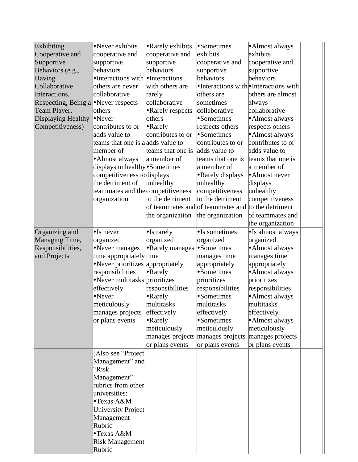| Exhibiting                          | •Never exhibits                   | • Rarely exhibits                 | •Sometimes                                         | • Almost always                       |  |
|-------------------------------------|-----------------------------------|-----------------------------------|----------------------------------------------------|---------------------------------------|--|
| Cooperative and                     | cooperative and                   | cooperative and                   | exhibits                                           | exhibits                              |  |
| Supportive                          | supportive                        | supportive                        | cooperative and                                    | cooperative and                       |  |
| Behaviors (e.g.,                    | behaviors                         | behaviors                         | supportive                                         | supportive                            |  |
| Having                              | •Interactions with •Interactions  |                                   | behaviors                                          | behaviors                             |  |
| Collaborative                       | others are never                  | with others are                   |                                                    | •Interactions with •Interactions with |  |
| Interactions,                       | collaborative                     | rarely                            | others are                                         | others are almost                     |  |
| Respecting, Being a •Never respects |                                   | collaborative                     | sometimes                                          | always                                |  |
| Team Player,                        | <b>lothers</b>                    | Rarely respects                   | collaborative                                      | collaborative                         |  |
| Displaying Healthy                  | $\bullet$ Never                   | others                            | •Sometimes                                         | ·Almost always                        |  |
| Competitiveness)                    | contributes to or                 | $\bullet$ Rarely                  | respects others                                    | respects others                       |  |
|                                     | adds value to                     | contributes to or                 | •Sometimes                                         | • Almost always                       |  |
|                                     | teams that one is a adds value to |                                   | contributes to or                                  | contributes to or                     |  |
|                                     | member of                         | teams that one is                 | adds value to                                      | adds value to                         |  |
|                                     | •Almost always                    | a member of                       | teams that one is                                  | teams that one is                     |  |
|                                     | displays unhealthy Sometimes      |                                   | a member of                                        | a member of                           |  |
|                                     | competitiveness todisplays        |                                   | • Rarely displays                                  | • Almost never                        |  |
|                                     | the detriment of                  | unhealthy                         | unhealthy                                          | displays                              |  |
|                                     | teammates and the competitiveness |                                   | competitiveness                                    | unhealthy                             |  |
|                                     | organization                      | to the detriment                  | to the detriment                                   | competitiveness                       |  |
|                                     |                                   |                                   | of teammates and of teammates and to the detriment |                                       |  |
|                                     |                                   | the organization                  | the organization                                   | of teammates and                      |  |
|                                     |                                   |                                   |                                                    | the organization                      |  |
| Organizing and                      | $\bullet$ Is never                | $\bullet$ Is rarely               | •Is sometimes                                      | · Is almost always                    |  |
| Managing Time,                      | organized                         | organized                         | organized                                          | organized                             |  |
| Responsibilities,                   | •Never manages                    | • Rarely manages                  | •Sometimes                                         | ·Almost always                        |  |
| and Projects                        | time appropriately time           |                                   | manages time                                       | manages time                          |  |
|                                     | •Never prioritizes appropriately  |                                   | appropriately                                      | appropriately                         |  |
|                                     | responsibilities                  | $\bullet$ Rarely                  | •Sometimes                                         | · Almost always                       |  |
|                                     | •Never multitasks prioritizes     |                                   | prioritizes                                        | prioritizes                           |  |
|                                     | effectively                       | responsibilities                  | responsibilities                                   | responsibilities                      |  |
|                                     | •Never                            | $\bullet$ Rarely                  | •Sometimes                                         | ·Almost always                        |  |
|                                     | meticulously                      | multitasks                        | multitasks                                         | multitasks                            |  |
|                                     | manages projects                  | effectively                       | effectively                                        | effectively                           |  |
|                                     | or plans events                   | $\bullet$ Rarely                  | •Sometimes                                         | • Almost always                       |  |
|                                     |                                   | meticulously                      | meticulously                                       | meticulously                          |  |
|                                     |                                   | manages projects manages projects |                                                    | manages projects                      |  |
|                                     |                                   | or plans events                   | or plans events                                    | or plans events                       |  |
|                                     | [Also see "Project                |                                   |                                                    |                                       |  |
|                                     | Management" and                   |                                   |                                                    |                                       |  |
|                                     | ''Risk                            |                                   |                                                    |                                       |  |
|                                     | Management"                       |                                   |                                                    |                                       |  |
|                                     | rubrics from other                |                                   |                                                    |                                       |  |
|                                     | universities:                     |                                   |                                                    |                                       |  |
|                                     | •Texas A&M                        |                                   |                                                    |                                       |  |
|                                     | <b>University Project</b>         |                                   |                                                    |                                       |  |
|                                     | Management                        |                                   |                                                    |                                       |  |
|                                     | Rubric                            |                                   |                                                    |                                       |  |
|                                     | •Texas A&M                        |                                   |                                                    |                                       |  |
|                                     | <b>Risk Management</b>            |                                   |                                                    |                                       |  |
|                                     | Rubric                            |                                   |                                                    |                                       |  |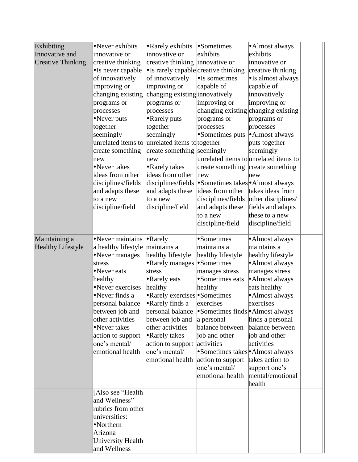| Exhibiting<br>Innovative and<br><b>Creative Thinking</b> | •Never exhibits<br>innovative or<br>creative thinking<br>•Is never capable<br>of innovatively<br>improving or<br>changing existing<br>programs or<br>processes<br>•Never puts<br>together<br>seemingly<br>unrelated items to<br>create something<br>new<br>•Never takes<br>ideas from other<br>disciplines/fields<br>and adapts these<br>to a new<br>discipline/field | • Rarely exhibits • Sometimes<br>innovative or<br>creative thinking innovative or<br>• Is rarely capable creative thinking<br>of innovatively<br>improving or<br>changing existing innovatively<br>programs or<br>processes<br>• Rarely puts<br>together<br>seemingly<br>unrelated items to together<br>create something seemingly<br>new<br>• Rarely takes<br>ideas from other<br>and adapts these<br>to a new<br>discipline/field | exhibits<br>$\bullet$ Is sometimes<br>capable of<br>improving or<br>changing existing changing existing<br>programs or<br>processes<br>Sometimes puts<br>create something create something<br>new<br>disciplines/fields •Sometimes takes•Almost always<br>ideas from other takes ideas from<br>disciplines/fields<br>and adapts these<br>to a new<br>discipline/field | •Almost always<br>exhibits<br>innovative or<br>creative thinking<br>• Is almost always<br>capable of<br>innovatively<br>improving or<br>programs or<br>processes<br>•Almost always<br>puts together<br>seemingly<br>unrelated items to unrelated items to<br>new<br>other disciplines/<br>fields and adapts<br>these to a new<br>discipline/field |  |
|----------------------------------------------------------|-----------------------------------------------------------------------------------------------------------------------------------------------------------------------------------------------------------------------------------------------------------------------------------------------------------------------------------------------------------------------|-------------------------------------------------------------------------------------------------------------------------------------------------------------------------------------------------------------------------------------------------------------------------------------------------------------------------------------------------------------------------------------------------------------------------------------|-----------------------------------------------------------------------------------------------------------------------------------------------------------------------------------------------------------------------------------------------------------------------------------------------------------------------------------------------------------------------|---------------------------------------------------------------------------------------------------------------------------------------------------------------------------------------------------------------------------------------------------------------------------------------------------------------------------------------------------|--|
| Maintaining a<br><b>Healthy Lifestyle</b>                | •Never maintains<br>a healthy lifestyle maintains a<br>•Never manages<br>stress<br>•Never eats<br>healthy<br>•Never exercises<br>•Never finds a<br>personal balance<br>between job and<br>other activities<br>•Never takes<br>action to support<br>one's mental/<br>emotional health                                                                                  | $\bullet$ Rarely<br>healthy lifestyle<br>• Rarely manages<br>stress<br>• Rarely eats<br>healthy<br>• Rarely exercises • Sometimes<br>• Rarely finds a<br>personal balance<br>between job and<br>other activities<br>• Rarely takes<br>action to support<br>one's mental/<br>emotional health                                                                                                                                        | •Sometimes<br>maintains a<br>healthy lifestyle<br>•Sometimes<br>manages stress<br>•Sometimes eats<br>healthy<br>exercises<br>•Sometimes finds • Almost always<br>a personal<br>balance between<br>job and other<br>activities<br>•Sometimes takes • Almost always<br>action to support<br>one's mental/<br>emotional health                                           | • Almost always<br>maintains a<br>healthy lifestyle<br>• Almost always<br>manages stress<br>·Almost always<br>eats healthy<br>• Almost always<br>exercises<br>finds a personal<br>balance between<br>job and other<br>activities<br>takes action to<br>support one's<br>mental/emotional<br>health                                                |  |
|                                                          | [Also see "Health<br>and Wellness"<br>rubrics from other<br>universities:<br>•Northern<br>Arizona<br><b>University Health</b><br>and Wellness                                                                                                                                                                                                                         |                                                                                                                                                                                                                                                                                                                                                                                                                                     |                                                                                                                                                                                                                                                                                                                                                                       |                                                                                                                                                                                                                                                                                                                                                   |  |